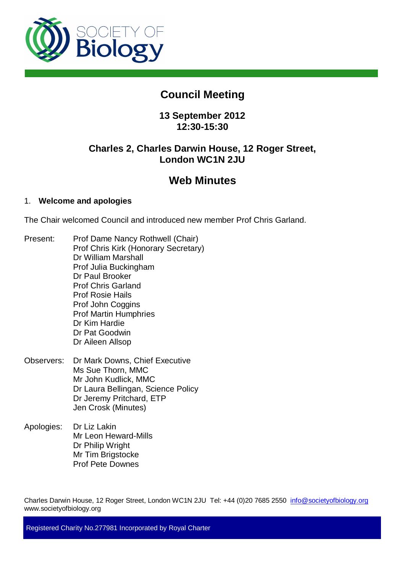

# **Council Meeting**

# **13 September 2012 12:30-15:30**

# **Charles 2, Charles Darwin House, 12 Roger Street, London WC1N 2JU**

# **Web Minutes**

# 1. **Welcome and apologies**

The Chair welcomed Council and introduced new member Prof Chris Garland.

- Present: Prof Dame Nancy Rothwell (Chair) Prof Chris Kirk (Honorary Secretary) Dr William Marshall Prof Julia Buckingham Dr Paul Brooker Prof Chris Garland Prof Rosie Hails Prof John Coggins Prof Martin Humphries Dr Kim Hardie Dr Pat Goodwin Dr Aileen Allsop
- Observers: Dr Mark Downs, Chief Executive Ms Sue Thorn, MMC Mr John Kudlick, MMC Dr Laura Bellingan, Science Policy Dr Jeremy Pritchard, ETP Jen Crosk (Minutes)
- Apologies: Dr Liz Lakin Mr Leon Heward-Mills Dr Philip Wright Mr Tim Brigstocke Prof Pete Downes

Charles Darwin House, 12 Roger Street, London WC1N 2JU Tel: +44 (0)20 7685 2550 info@societyofbiology.org www.societyofbiology.org

Registered Charity No.277981 Incorporated by Royal Charter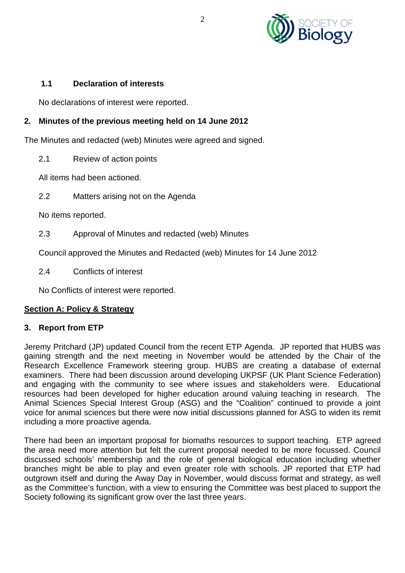

## **1.1 Declaration of interests**

No declarations of interest were reported.

# **2. Minutes of the previous meeting held on 14 June 2012**

The Minutes and redacted (web) Minutes were agreed and signed.

2.1 Review of action points

All items had been actioned.

2.2 Matters arising not on the Agenda

No items reported.

2.3 Approval of Minutes and redacted (web) Minutes

Council approved the Minutes and Redacted (web) Minutes for 14 June 2012

2.4 Conflicts of interest

No Conflicts of interest were reported.

#### **Section A: Policy & Strategy**

#### **3. Report from ETP**

Jeremy Pritchard (JP) updated Council from the recent ETP Agenda. JP reported that HUBS was gaining strength and the next meeting in November would be attended by the Chair of the Research Excellence Framework steering group. HUBS are creating a database of external examiners. There had been discussion around developing UKPSF (UK Plant Science Federation) and engaging with the community to see where issues and stakeholders were. Educational resources had been developed for higher education around valuing teaching in research. The Animal Sciences Special Interest Group (ASG) and the "Coalition" continued to provide a joint voice for animal sciences but there were now initial discussions planned for ASG to widen its remit including a more proactive agenda.

There had been an important proposal for biomaths resources to support teaching. ETP agreed the area need more attention but felt the current proposal needed to be more focussed. Council discussed schools' membership and the role of general biological education including whether branches might be able to play and even greater role with schools. JP reported that ETP had outgrown itself and during the Away Day in November, would discuss format and strategy, as well as the Committee's function, with a view to ensuring the Committee was best placed to support the Society following its significant grow over the last three years.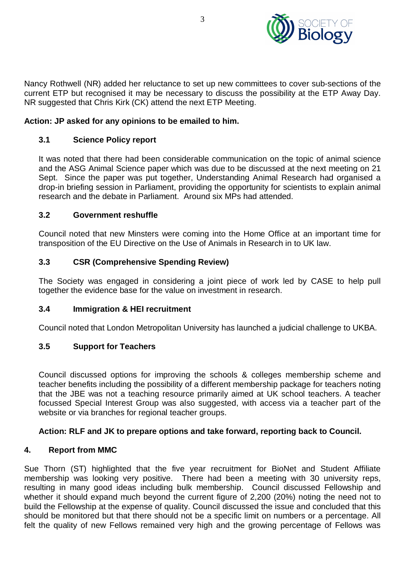

Nancy Rothwell (NR) added her reluctance to set up new committees to cover sub-sections of the current ETP but recognised it may be necessary to discuss the possibility at the ETP Away Day. NR suggested that Chris Kirk (CK) attend the next ETP Meeting.

#### **Action: JP asked for any opinions to be emailed to him.**

## **3.1 Science Policy report**

It was noted that there had been considerable communication on the topic of animal science and the ASG Animal Science paper which was due to be discussed at the next meeting on 21 Sept. Since the paper was put together, Understanding Animal Research had organised a drop-in briefing session in Parliament, providing the opportunity for scientists to explain animal research and the debate in Parliament. Around six MPs had attended.

#### **3.2 Government reshuffle**

Council noted that new Minsters were coming into the Home Office at an important time for transposition of the EU Directive on the Use of Animals in Research in to UK law.

## **3.3 CSR (Comprehensive Spending Review)**

The Society was engaged in considering a joint piece of work led by CASE to help pull together the evidence base for the value on investment in research.

#### **3.4 Immigration & HEI recruitment**

Council noted that London Metropolitan University has launched a judicial challenge to UKBA.

#### **3.5 Support for Teachers**

Council discussed options for improving the schools & colleges membership scheme and teacher benefits including the possibility of a different membership package for teachers noting that the JBE was not a teaching resource primarily aimed at UK school teachers. A teacher focussed Special Interest Group was also suggested, with access via a teacher part of the website or via branches for regional teacher groups.

#### **Action: RLF and JK to prepare options and take forward, reporting back to Council.**

#### **4. Report from MMC**

Sue Thorn (ST) highlighted that the five year recruitment for BioNet and Student Affiliate membership was looking very positive. There had been a meeting with 30 university reps, resulting in many good ideas including bulk membership. Council discussed Fellowship and whether it should expand much beyond the current figure of 2,200 (20%) noting the need not to build the Fellowship at the expense of quality. Council discussed the issue and concluded that this should be monitored but that there should not be a specific limit on numbers or a percentage. All felt the quality of new Fellows remained very high and the growing percentage of Fellows was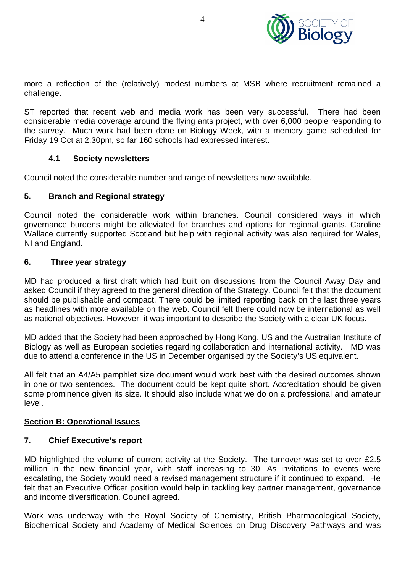

more a reflection of the (relatively) modest numbers at MSB where recruitment remained a challenge.

ST reported that recent web and media work has been very successful. There had been considerable media coverage around the flying ants project, with over 6,000 people responding to the survey. Much work had been done on Biology Week, with a memory game scheduled for Friday 19 Oct at 2.30pm, so far 160 schools had expressed interest.

#### **4.1 Society newsletters**

Council noted the considerable number and range of newsletters now available.

#### **5. Branch and Regional strategy**

Council noted the considerable work within branches. Council considered ways in which governance burdens might be alleviated for branches and options for regional grants. Caroline Wallace currently supported Scotland but help with regional activity was also required for Wales, NI and England.

#### **6. Three year strategy**

MD had produced a first draft which had built on discussions from the Council Away Day and asked Council if they agreed to the general direction of the Strategy. Council felt that the document should be publishable and compact. There could be limited reporting back on the last three years as headlines with more available on the web. Council felt there could now be international as well as national objectives. However, it was important to describe the Society with a clear UK focus.

MD added that the Society had been approached by Hong Kong. US and the Australian Institute of Biology as well as European societies regarding collaboration and international activity. MD was due to attend a conference in the US in December organised by the Society's US equivalent.

All felt that an A4/A5 pamphlet size document would work best with the desired outcomes shown in one or two sentences. The document could be kept quite short. Accreditation should be given some prominence given its size. It should also include what we do on a professional and amateur level.

#### **Section B: Operational Issues**

#### **7. Chief Executive's report**

MD highlighted the volume of current activity at the Society. The turnover was set to over £2.5 million in the new financial year, with staff increasing to 30. As invitations to events were escalating, the Society would need a revised management structure if it continued to expand. He felt that an Executive Officer position would help in tackling key partner management, governance and income diversification. Council agreed.

Work was underway with the Royal Society of Chemistry, British Pharmacological Society, Biochemical Society and Academy of Medical Sciences on Drug Discovery Pathways and was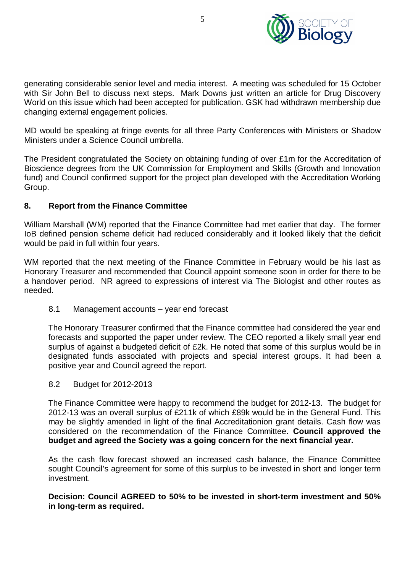

generating considerable senior level and media interest. A meeting was scheduled for 15 October with Sir John Bell to discuss next steps. Mark Downs just written an article for Drug Discovery World on this issue which had been accepted for publication. GSK had withdrawn membership due changing external engagement policies.

MD would be speaking at fringe events for all three Party Conferences with Ministers or Shadow Ministers under a Science Council umbrella.

The President congratulated the Society on obtaining funding of over £1m for the Accreditation of Bioscience degrees from the UK Commission for Employment and Skills (Growth and Innovation fund) and Council confirmed support for the project plan developed with the Accreditation Working Group.

## **8. Report from the Finance Committee**

William Marshall (WM) reported that the Finance Committee had met earlier that day. The former IoB defined pension scheme deficit had reduced considerably and it looked likely that the deficit would be paid in full within four years.

WM reported that the next meeting of the Finance Committee in February would be his last as Honorary Treasurer and recommended that Council appoint someone soon in order for there to be a handover period. NR agreed to expressions of interest via The Biologist and other routes as needed.

8.1 Management accounts – year end forecast

The Honorary Treasurer confirmed that the Finance committee had considered the year end forecasts and supported the paper under review. The CEO reported a likely small year end surplus of against a budgeted deficit of £2k. He noted that some of this surplus would be in designated funds associated with projects and special interest groups. It had been a positive year and Council agreed the report.

8.2 Budget for 2012-2013

The Finance Committee were happy to recommend the budget for 2012-13. The budget for 2012-13 was an overall surplus of £211k of which £89k would be in the General Fund. This may be slightly amended in light of the final Accreditationion grant details. Cash flow was considered on the recommendation of the Finance Committee. **Council approved the budget and agreed the Society was a going concern for the next financial year.**

As the cash flow forecast showed an increased cash balance, the Finance Committee sought Council's agreement for some of this surplus to be invested in short and longer term investment.

**Decision: Council AGREED to 50% to be invested in short-term investment and 50% in long-term as required.**